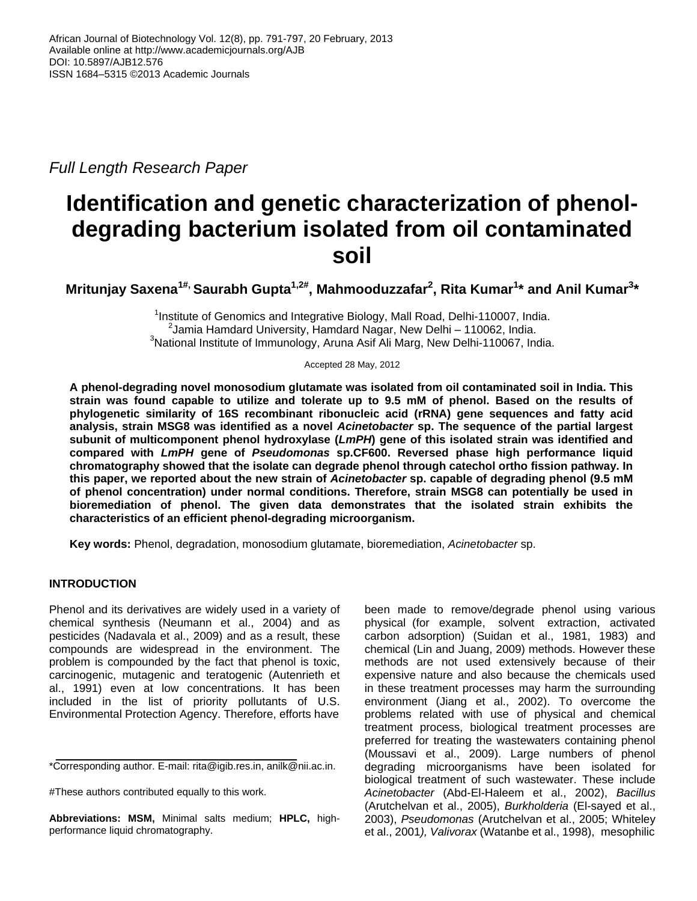*Full Length Research Paper*

# **Identification and genetic characterization of phenoldegrading bacterium isolated from oil contaminated soil**

**Mritunjay Saxena1#, Saurabh Gupta1,2#, Mahmooduzzafar<sup>2</sup> , Rita Kumar<sup>1</sup> \* and Anil Kumar<sup>3</sup> \*** 

<sup>1</sup>Institute of Genomics and Integrative Biology, Mall Road, Delhi-110007, India.  $2$ Jamia Hamdard University, Hamdard Nagar, New Delhi – 110062, India.  $3$ National Institute of Immunology, Aruna Asif Ali Marg, New Delhi-110067, India.

Accepted 28 May, 2012

**A phenol-degrading novel monosodium glutamate was isolated from oil contaminated soil in India. This strain was found capable to utilize and tolerate up to 9.5 mM of phenol. Based on the results of phylogenetic similarity of 16S recombinant ribonucleic acid (rRNA) gene sequences and fatty acid analysis, strain MSG8 was identified as a novel** *Acinetobacter* **sp. The sequence of the partial largest subunit of multicomponent phenol hydroxylase (***LmPH***) gene of this isolated strain was identified and compared with** *LmPH* **gene of** *Pseudomonas* **sp.CF600. Reversed phase high performance liquid chromatography showed that the isolate can degrade phenol through catechol ortho fission pathway. In this paper, we reported about the new strain of** *Acinetobacter* **sp. capable of degrading phenol (9.5 mM of phenol concentration) under normal conditions. Therefore, strain MSG8 can potentially be used in bioremediation of phenol. The given data demonstrates that the isolated strain exhibits the characteristics of an efficient phenol-degrading microorganism.**

**Key words:** Phenol, degradation, monosodium glutamate, bioremediation, *Acinetobacter* sp.

## **INTRODUCTION**

Phenol and its derivatives are widely used in a variety of chemical synthesis (Neumann et al., 2004) and as pesticides (Nadavala et al., 2009) and as a result, these compounds are widespread in the environment. The problem is compounded by the fact that phenol is toxic, carcinogenic, mutagenic and teratogenic (Autenrieth et al., 1991) even at low concentrations. It has been included in the list of priority pollutants of U.S. Environmental Protection Agency. Therefore, efforts have

been made to remove/degrade phenol using various physical (for example, solvent extraction, activated carbon adsorption) (Suidan et al., 1981, 1983) and chemical (Lin and Juang, 2009) methods. However these methods are not used extensively because of their expensive nature and also because the chemicals used in these treatment processes may harm the surrounding environment (Jiang et al., 2002). To overcome the problems related with use of physical and chemical treatment process, biological treatment processes are preferred for treating the wastewaters containing phenol (Moussavi et al., 2009). Large numbers of phenol degrading microorganisms have been isolated for biological treatment of such wastewater. These include *Acinetobacter* (Abd-El-Haleem et al., 2002), *Bacillus*  (Arutchelvan et al., 2005), *Burkholderia* (El-sayed et al., 2003), *Pseudomonas* (Arutchelvan et al., 2005; Whiteley et al., 2001*), Valivorax* (Watanbe et al., 1998), mesophilic

<sup>\*</sup>Corresponding author. E-mail: rita@igib.res.in, anilk@nii.ac.in.

<sup>#</sup>These authors contributed equally to this work.

**Abbreviations: MSM,** Minimal salts medium; **HPLC,** highperformance liquid chromatography.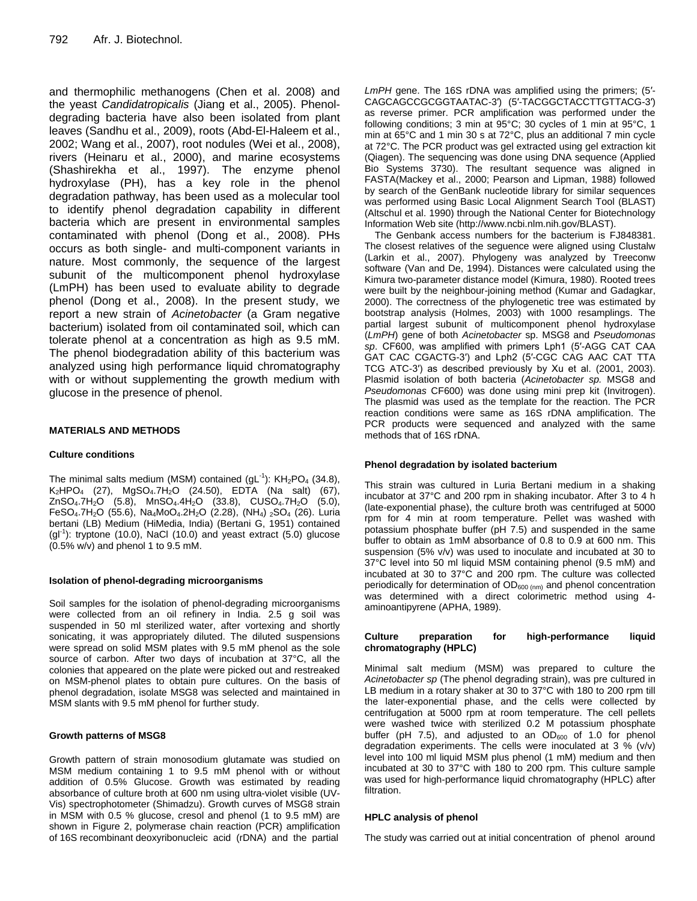and thermophilic methanogens (Chen et al. 2008) and the yeast *Candidatropicalis* (Jiang et al., 2005). Phenoldegrading bacteria have also been isolated from plant leaves (Sandhu et al., 2009), roots (Abd-El-Haleem et al., 2002; Wang et al., 2007), root nodules (Wei et al., 2008), rivers (Heinaru et al., 2000), and marine ecosystems (Shashirekha et al., 1997). The enzyme phenol hydroxylase (PH), has a key role in the phenol degradation pathway, has been used as a molecular tool to identify phenol degradation capability in different bacteria which are present in environmental samples contaminated with phenol (Dong et al., 2008). PHs occurs as both single- and multi-component variants in nature. Most commonly, the sequence of the largest subunit of the multicomponent phenol hydroxylase (LmPH) has been used to evaluate ability to degrade phenol (Dong et al., 2008). In the present study, we report a new strain of *Acinetobacter* (a Gram negative bacterium) isolated from oil contaminated soil, which can tolerate phenol at a concentration as high as 9.5 mM. The phenol biodegradation ability of this bacterium was analyzed using high performance liquid chromatography with or without supplementing the growth medium with glucose in the presence of phenol.

## **MATERIALS AND METHODS**

## **Culture conditions**

The minimal salts medium (MSM) contained ( $gL^{-1}$ ):  $KH_{2}PO_{4}$  (34.8),  $K_2HPO_4$  (27), MgSO<sub>4</sub>.7H<sub>2</sub>O (24.50), EDTA (Na salt) (67),  $ZnSO_4.7H_2O$  (5.8),  $MnSO_4.4H_2O$  (33.8),  $CUSO_4.7H_2O$  (5.0), FeSO<sub>4</sub>.7H<sub>2</sub>O (55.6), Na<sub>4</sub>MoO<sub>4</sub>.2H<sub>2</sub>O (2.28), (NH<sub>4</sub>) <sub>2</sub>SO<sub>4</sub> (26). Luria bertani (LB) Medium (HiMedia, India) (Bertani G, 1951) contained  $(gI<sup>1</sup>)$ : tryptone (10.0), NaCl (10.0) and yeast extract (5.0) glucose (0.5% w/v) and phenol 1 to 9.5 mM.

#### **Isolation of phenol-degrading microorganisms**

Soil samples for the isolation of phenol-degrading microorganisms were collected from an oil refinery in India. 2.5 g soil was suspended in 50 ml sterilized water, after vortexing and shortly sonicating, it was appropriately diluted. The diluted suspensions were spread on solid MSM plates with 9.5 mM phenol as the sole source of carbon. After two days of incubation at 37°C, all the colonies that appeared on the plate were picked out and restreaked on MSM-phenol plates to obtain pure cultures. On the basis of phenol degradation, isolate MSG8 was selected and maintained in MSM slants with 9.5 mM phenol for further study.

#### **Growth patterns of MSG8**

Growth pattern of strain monosodium glutamate was studied on MSM medium containing 1 to 9.5 mM phenol with or without addition of 0.5% Glucose. Growth was estimated by reading absorbance of culture broth at 600 nm using ultra-violet visible (UV-Vis) spectrophotometer (Shimadzu). Growth curves of MSG8 strain in MSM with 0.5 % glucose, cresol and phenol (1 to 9.5 mM) are shown in Figure 2, polymerase chain reaction (PCR) amplification of 16S recombinant deoxyribonucleic acid (rDNA) and the partial

*LmPH* gene. The 16S rDNA was amplified using the primers; (5′- CAGCAGCCGCGGTAATAC-3′) (5′-TACGGCTACCTTGTTACG-3′) as reverse primer. PCR amplification was performed under the following conditions; 3 min at 95°C; 30 cycles of 1 min at 95°C, 1 min at 65°C and 1 min 30 s at 72°C, plus an additional 7 min cycle at 72°C. The PCR product was gel extracted using gel extraction kit (Qiagen). The sequencing was done using DNA sequence (Applied Bio Systems 3730). The resultant sequence was aligned in FASTA(Mackey et al., 2000; Pearson and Lipman, 1988) followed by search of the GenBank nucleotide library for similar sequences was performed using Basic Local Alignment Search Tool (BLAST) (Altschul et al. 1990) through the National Center for Biotechnology Information Web site (http://www.ncbi.nlm.nih.gov/BLAST).

The Genbank access numbers for the bacterium is FJ848381. The closest relatives of the seguence were aligned using Clustalw (Larkin et al., 2007). Phylogeny was analyzed by Treeconw software (Van and De, 1994). Distances were calculated using the Kimura two-parameter distance model (Kimura, 1980). Rooted trees were built by the neighbour-joining method (Kumar and Gadagkar, 2000). The correctness of the phylogenetic tree was estimated by bootstrap analysis (Holmes, 2003) with 1000 resamplings. The partial largest subunit of multicomponent phenol hydroxylase (*LmPH*) gene of both *Acinetobacter* sp. MSG8 and *Pseudomonas sp*. CF600, was amplified with primers Lph1 (5′-AGG CAT CAA GAT CAC CGACTG-3′) and Lph2 (5′-CGC CAG AAC CAT TTA TCG ATC-3′) as described previously by Xu et al. (2001, 2003). Plasmid isolation of both bacteria (*Acinetobacter sp.* MSG8 and *Pseudomonas* CF600) was done using mini prep kit (Invitrogen). The plasmid was used as the template for the reaction. The PCR reaction conditions were same as 16S rDNA amplification. The PCR products were sequenced and analyzed with the same methods that of 16S rDNA.

#### **Phenol degradation by isolated bacterium**

This strain was cultured in Luria Bertani medium in a shaking incubator at 37°C and 200 rpm in shaking incubator. After 3 to 4 h (late-exponential phase), the culture broth was centrifuged at 5000 rpm for 4 min at room temperature. Pellet was washed with potassium phosphate buffer (pH 7.5) and suspended in the same buffer to obtain as 1mM absorbance of 0.8 to 0.9 at 600 nm. This suspension (5% v/v) was used to inoculate and incubated at 30 to 37°C level into 50 ml liquid MSM containing phenol (9.5 mM) and incubated at 30 to 37°C and 200 rpm. The culture was collected periodically for determination of  $OD_{600 \,(nm)}$  and phenol concentration was determined with a direct colorimetric method using 4 aminoantipyrene (APHA, 1989).

#### **Culture preparation for high-performance liquid chromatography (HPLC)**

Minimal salt medium (MSM) was prepared to culture the *Acinetobacter sp* (The phenol degrading strain), was pre cultured in LB medium in a rotary shaker at 30 to 37°C with 180 to 200 rpm till the later-exponential phase, and the cells were collected by centrifugation at 5000 rpm at room temperature. The cell pellets were washed twice with sterilized 0.2 M potassium phosphate buffer (pH 7.5), and adjusted to an  $OD_{600}$  of 1.0 for phenol degradation experiments. The cells were inoculated at 3 % (v/v) level into 100 ml liquid MSM plus phenol (1 mM) medium and then incubated at 30 to 37°C with 180 to 200 rpm. This culture sample was used for high-performance liquid chromatography (HPLC) after filtration.

#### **HPLC analysis of phenol**

The study was carried out at initial concentration of phenol around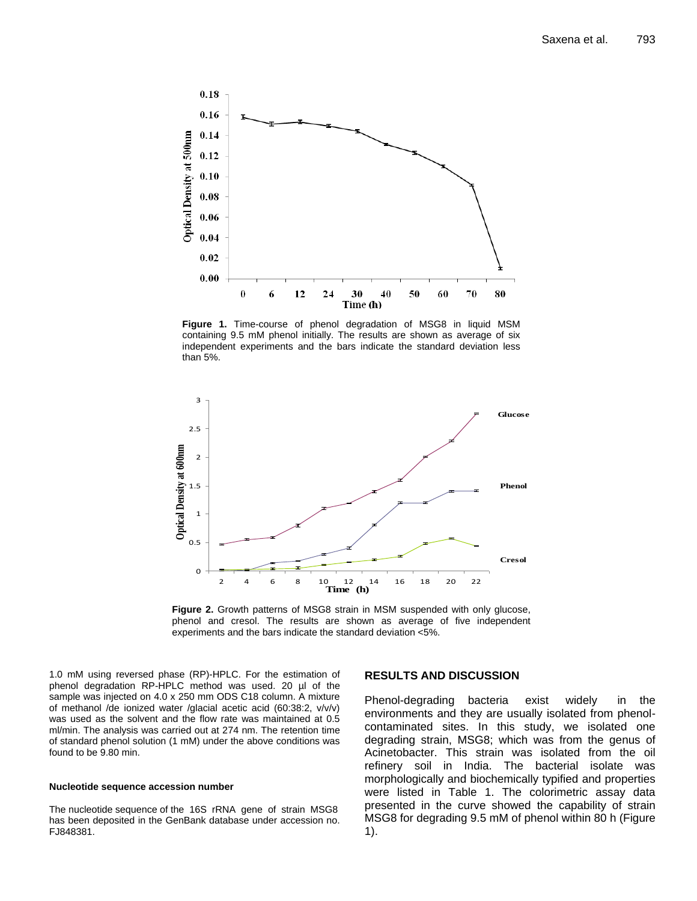

**Figure 1.** Time-course of phenol degradation of MSG8 in liquid MSM containing 9.5 mM phenol initially. The results are shown as average of six independent experiments and the bars indicate the standard deviation less than 5%.



Figure 2. Growth patterns of MSG8 strain in MSM suspended with only glucose, phenol and cresol. The results are shown as average of five independent experiments and the bars indicate the standard deviation <5%.

1.0 mM using reversed phase (RP)-HPLC. For the estimation of phenol degradation RP-HPLC method was used. 20 µl of the sample was injected on 4.0 x 250 mm ODS C18 column. A mixture of methanol /de ionized water /glacial acetic acid (60:38:2, v/v/v) was used as the solvent and the flow rate was maintained at 0.5 ml/min. The analysis was carried out at 274 nm. The retention time of standard phenol solution (1 mM) under the above conditions was found to be 9.80 min.

#### **Nucleotide sequence accession number**

The nucleotide sequence of the 16S rRNA gene of strain MSG8 has been deposited in the GenBank database under accession no. FJ848381.

## **RESULTS AND DISCUSSION**

Phenol-degrading bacteria exist widely in the environments and they are usually isolated from phenolcontaminated sites. In this study, we isolated one degrading strain, MSG8; which was from the genus of Acinetobacter. This strain was isolated from the oil refinery soil in India. The bacterial isolate was morphologically and biochemically typified and properties were listed in Table 1. The colorimetric assay data presented in the curve showed the capability of strain MSG8 for degrading 9.5 mM of phenol within 80 h (Figure 1).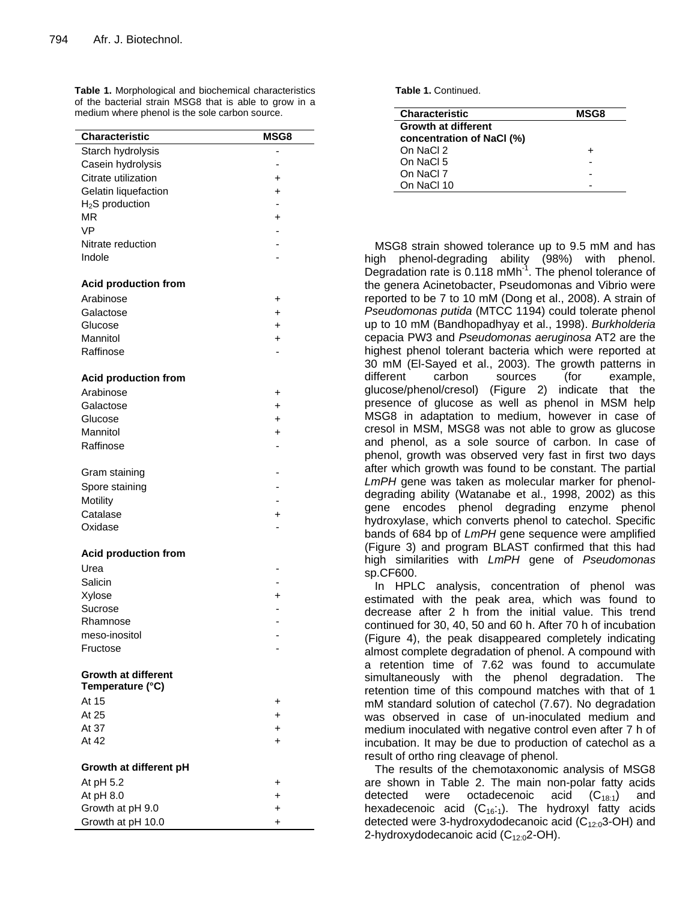**Table 1.** Morphological and biochemical characteristics of the bacterial strain MSG8 that is able to grow in a medium where phenol is the sole carbon source.

| Characteristic                                 | MSG8      |
|------------------------------------------------|-----------|
| Starch hydrolysis                              |           |
| Casein hydrolysis                              |           |
| Citrate utilization                            | +         |
| Gelatin liquefaction                           | $\ddot{}$ |
| $H2S$ production                               | ÷         |
| <b>MR</b>                                      | $\ddot{}$ |
| <b>VP</b>                                      |           |
| Nitrate reduction                              |           |
| Indole                                         |           |
| <b>Acid production from</b>                    |           |
| Arabinose                                      | +         |
| Galactose                                      | $\ddot{}$ |
| Glucose                                        | $\ddot{}$ |
| Mannitol                                       | +         |
| Raffinose                                      |           |
| <b>Acid production from</b>                    |           |
| Arabinose                                      | +         |
| Galactose                                      | +         |
| Glucose                                        | $\ddot{}$ |
| Mannitol                                       | $\ddot{}$ |
| Raffinose                                      |           |
| Gram staining                                  |           |
| Spore staining                                 |           |
| Motility                                       |           |
| Catalase                                       | $\ddot{}$ |
| Oxidase                                        |           |
| <b>Acid production from</b>                    |           |
| Urea                                           |           |
| Salicin                                        |           |
| Xylose                                         | $\ddot{}$ |
| Sucrose                                        |           |
| Rhamnose                                       |           |
| meso-inositol                                  |           |
| Fructose                                       |           |
|                                                |           |
| <b>Growth at different</b><br>Temperature (°C) |           |
| At 15                                          | +         |
| At 25                                          | +         |
| At 37                                          | +         |
| At 42                                          | $\ddot{}$ |
| Growth at different pH                         |           |
|                                                |           |
| At pH 5.2<br>At $pH 8.0$                       | +         |
| Growth at pH 9.0                               | +         |
| Growth at pH 10.0                              | +<br>+    |
|                                                |           |

**Table 1.** Continued.

| <b>Characteristic</b>      | <b>MSG8</b> |
|----------------------------|-------------|
| <b>Growth at different</b> |             |
| concentration of NaCl (%)  |             |
| On NaCl 2                  | +           |
| On NaCl 5                  |             |
| On NaCl 7                  |             |
| On NaCl 10                 |             |

MSG8 strain showed tolerance up to 9.5 mM and has high phenol-degrading ability (98%) with phenol. Degradation rate is 0.118 mMh<sup>-1</sup>. The phenol tolerance of the genera Acinetobacter, Pseudomonas and Vibrio were reported to be 7 to 10 mM (Dong et al., 2008). A strain of *Pseudomonas putida* (MTCC 1194) could tolerate phenol up to 10 mM (Bandhopadhyay et al., 1998). *Burkholderia* cepacia PW3 and *Pseudomonas aeruginosa* AT2 are the highest phenol tolerant bacteria which were reported at 30 mM (El-Sayed et al., 2003). The growth patterns in different carbon sources (for example, glucose/phenol/cresol) (Figure 2) indicate that the presence of glucose as well as phenol in MSM help MSG8 in adaptation to medium, however in case of cresol in MSM, MSG8 was not able to grow as glucose and phenol, as a sole source of carbon. In case of phenol, growth was observed very fast in first two days after which growth was found to be constant. The partial *LmPH* gene was taken as molecular marker for phenoldegrading ability (Watanabe et al., 1998, 2002) as this gene encodes phenol degrading enzyme phenol hydroxylase, which converts phenol to catechol. Specific bands of 684 bp of *LmPH* gene sequence were amplified (Figure 3) and program BLAST confirmed that this had high similarities with *LmPH* gene of *Pseudomonas* sp.CF600.

In HPLC analysis, concentration of phenol was estimated with the peak area, which was found to decrease after 2 h from the initial value. This trend continued for 30, 40, 50 and 60 h. After 70 h of incubation (Figure 4), the peak disappeared completely indicating almost complete degradation of phenol. A compound with a retention time of 7.62 was found to accumulate simultaneously with the phenol degradation. The retention time of this compound matches with that of 1 mM standard solution of catechol (7.67). No degradation was observed in case of un-inoculated medium and medium inoculated with negative control even after 7 h of incubation. It may be due to production of catechol as a result of ortho ring cleavage of phenol.

The results of the chemotaxonomic analysis of MSG8 are shown in Table 2. The main non-polar fatty acids detected were octadecenoic acid  $(C_{18:1})$  and hexadecenoic acid  $(C_{16.1})$ . The hydroxyl fatty acids detected were 3-hydroxydodecanoic acid  $(C_{12:0}3$ -OH) and 2-hydroxydodecanoic acid  $(C_{12:0}2$ -OH).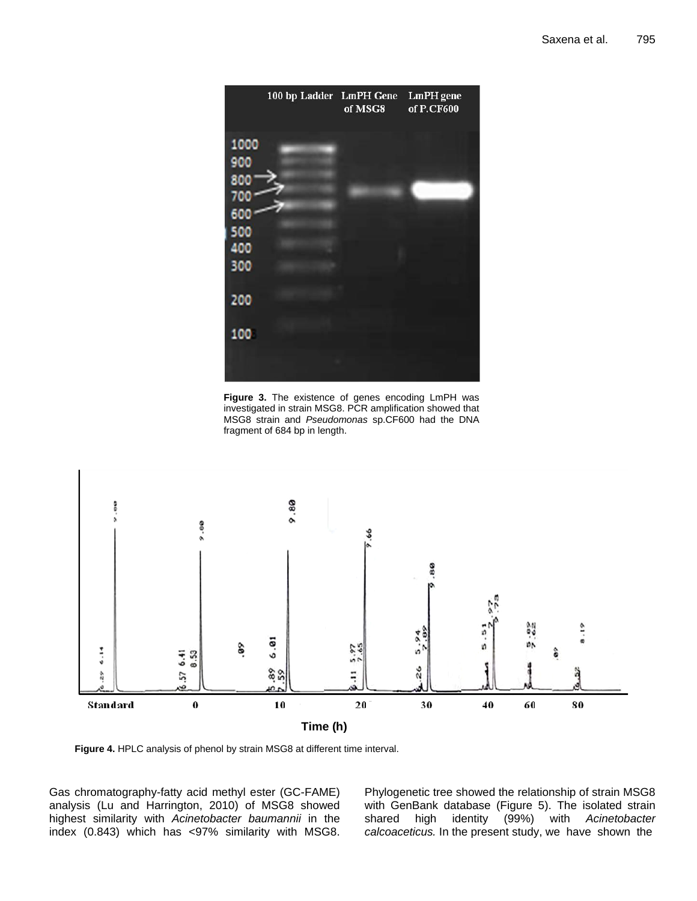

**Figure 3.** The existence of genes encoding LmPH was investigated in strain MSG8. PCR amplification showed that MSG8 strain and *Pseudomonas* sp.CF600 had the DNA fragment of 684 bp in length.



**Figure 4.** HPLC analysis of phenol by strain MSG8 at different time interval.

Gas chromatography-fatty acid methyl ester (GC-FAME) analysis (Lu and Harrington, 2010) of MSG8 showed highest similarity with *Acinetobacter baumannii* in the index (0.843) which has <97% similarity with MSG8. Phylogenetic tree showed the relationship of strain MSG8 with GenBank database (Figure 5). The isolated strain shared high identity (99%) with *Acinetobacter calcoaceticus.* In the present study, we have shown the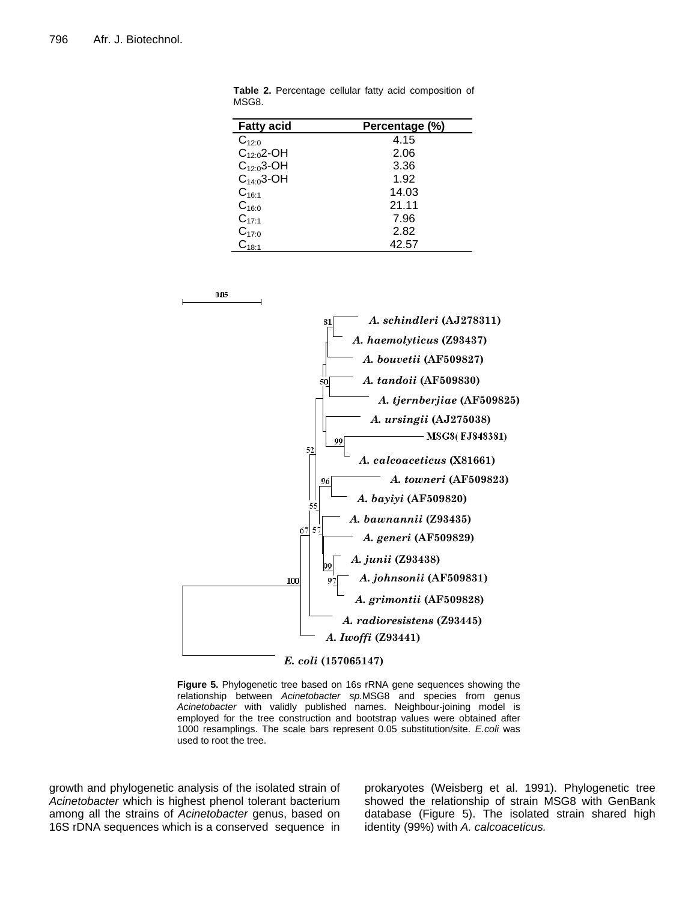| <b>Fatty acid</b> | Percentage (%) |
|-------------------|----------------|
| $C_{12:0}$        | 4.15           |
| $C_{12:0}$ 2-OH   | 2.06           |
| $C_{12:0}3$ -OH   | 3.36           |
| $C_{14:0}3$ -OH   | 1.92           |
| $C_{16:1}$        | 14.03          |
| $C_{16:0}$        | 21.11          |
| $C_{17:1}$        | 7.96           |
| $C_{17:0}$        | 2.82           |
| $C_{18:1}$        | 42.57          |

**Table 2.** Percentage cellular fatty acid composition of MSG8.





**Figure 5.** Phylogenetic tree based on 16s rRNA gene sequences showing the relationship between *Acinetobacter sp.*MSG8 and species from genus *Acinetobacter* with validly published names. Neighbour-joining model is employed for the tree construction and bootstrap values were obtained after 1000 resamplings. The scale bars represent 0.05 substitution/site. *E.coli* was used to root the tree.

growth and phylogenetic analysis of the isolated strain of *Acinetobacter* which is highest phenol tolerant bacterium among all the strains of *Acinetobacter* genus, based on 16S rDNA sequences which is a conserved sequence in

prokaryotes (Weisberg et al. 1991). Phylogenetic tree showed the relationship of strain MSG8 with GenBank database (Figure 5). The isolated strain shared high identity (99%) with *A. calcoaceticus.*